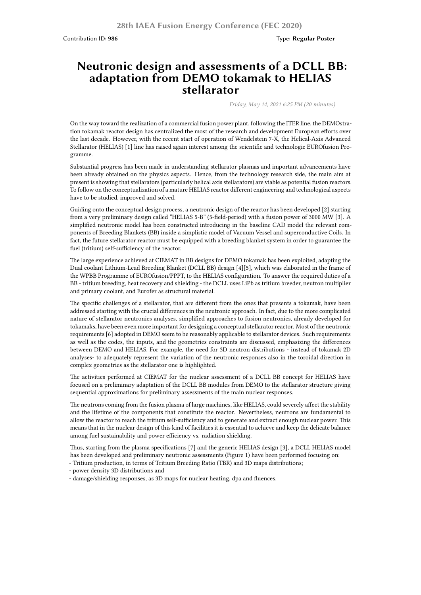## **Neutronic design and assessments of a DCLL BB: adaptation from DEMO tokamak to HELIAS stellarator**

*Friday, May 14, 2021 6:25 PM (20 minutes)*

On the way toward the realization of a commercial fusion power plant, following the ITER line, the DEMOstration tokamak reactor design has centralized the most of the research and development European efforts over the last decade. However, with the recent start of operation of Wendelstein 7-X, the Helical-Axis Advanced Stellarator (HELIAS) [1] line has raised again interest among the scientific and technologic EUROfusion Programme.

Substantial progress has been made in understanding stellarator plasmas and important advancements have been already obtained on the physics aspects. Hence, from the technology research side, the main aim at present is showing that stellarators (particularly helical axis stellarators) are viable as potential fusion reactors. To follow on the conceptualization of a mature HELIAS reactor different engineering and technological aspects have to be studied, improved and solved.

Guiding onto the conceptual design process, a neutronic design of the reactor has been developed [2] starting from a very preliminary design called "HELIAS 5-B" (5-field-period) with a fusion power of 3000 MW [3]. A simplified neutronic model has been constructed introducing in the baseline CAD model the relevant components of Breeding Blankets (BB) inside a simplistic model of Vacuum Vessel and superconductive Coils. In fact, the future stellarator reactor must be equipped with a breeding blanket system in order to guarantee the fuel (tritium) self-sufficiency of the reactor.

The large experience achieved at CIEMAT in BB designs for DEMO tokamak has been exploited, adapting the Dual coolant Lithium-Lead Breeding Blanket (DCLL BB) design [4][5], which was elaborated in the frame of the WPBB Programme of EUROfusion/PPPT, to the HELIAS configuration. To answer the required duties of a BB - tritium breeding, heat recovery and shielding - the DCLL uses LiPb as tritium breeder, neutron multiplier and primary coolant, and Eurofer as structural material.

The specific challenges of a stellarator, that are different from the ones that presents a tokamak, have been addressed starting with the crucial differences in the neutronic approach. In fact, due to the more complicated nature of stellarator neutronics analyses, simplified approaches to fusion neutronics, already developed for tokamaks, have been even more important for designing a conceptual stellarator reactor. Most of the neutronic requirements [6] adopted in DEMO seem to be reasonably applicable to stellarator devices. Such requirements as well as the codes, the inputs, and the geometries constraints are discussed, emphasizing the differences between DEMO and HELIAS. For example, the need for 3D neutron distributions - instead of tokamak 2D analyses- to adequately represent the variation of the neutronic responses also in the toroidal direction in complex geometries as the stellarator one is highlighted.

The activities performed at CIEMAT for the nuclear assessment of a DCLL BB concept for HELIAS have focused on a preliminary adaptation of the DCLL BB modules from DEMO to the stellarator structure giving sequential approximations for preliminary assessments of the main nuclear responses.

The neutrons coming from the fusion plasma of large machines, like HELIAS, could severely affect the stability and the lifetime of the components that constitute the reactor. Nevertheless, neutrons are fundamental to allow the reactor to reach the tritium self-sufficiency and to generate and extract enough nuclear power. This means that in the nuclear design of this kind of facilities it is essential to achieve and keep the delicate balance among fuel sustainability and power efficiency vs. radiation shielding.

Thus, starting from the plasma specifications [7] and the generic HELIAS design [3], a DCLL HELIAS model has been developed and preliminary neutronic assessments (Figure 1) have been performed focusing on:

- Tritium production, in terms of Tritium Breeding Ratio (TBR) and 3D maps distributions;
- power density 3D distributions and
- damage/shielding responses, as 3D maps for nuclear heating, dpa and fluences.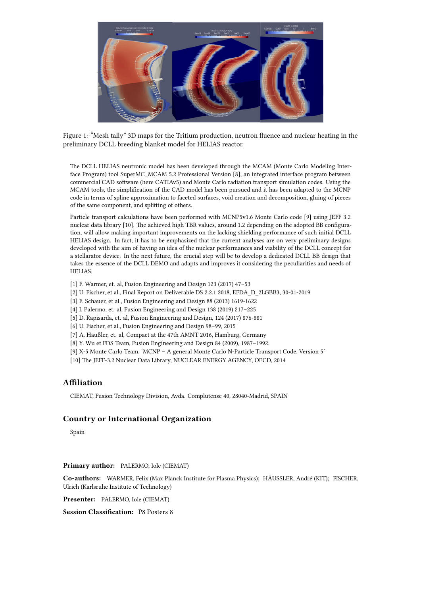

Figure 1: "Mesh tally" 3D maps for the Tritium production, neutron fluence and nuclear heating in the preliminary DCLL breeding blanket model for HELIAS reactor.

The DCLL HELIAS neutronic model has been developed through the MCAM (Monte Carlo Modeling Interface Program) tool SuperMC\_MCAM 5.2 Professional Version [8], an integrated interface program between commercial CAD software (here CATIAv5) and Monte Carlo radiation transport simulation codes. Using the MCAM tools, the simplification of the CAD model has been pursued and it has been adapted to the MCNP code in terms of spline approximation to faceted surfaces, void creation and decomposition, gluing of pieces of the same component, and splitting of others.

Particle transport calculations have been performed with MCNP5v1.6 Monte Carlo code [9] using JEFF 3.2 nuclear data library [10]. The achieved high TBR values, around 1.2 depending on the adopted BB configuration, will allow making important improvements on the lacking shielding performance of such initial DCLL HELIAS design. In fact, it has to be emphasized that the current analyses are on very preliminary designs developed with the aim of having an idea of the nuclear performances and viability of the DCLL concept for a stellarator device. In the next future, the crucial step will be to develop a dedicated DCLL BB design that takes the essence of the DCLL DEMO and adapts and improves it considering the peculiarities and needs of HELIAS.

- [1] F. Warmer, et. al, Fusion Engineering and Design 123 (2017) 47–53
- [2] U. Fischer, et al., Final Report on Deliverable DS 2.2.1 2018, EFDA\_D\_2LGBB3, 30-01-2019
- [3] F. Schauer, et al., Fusion Engineering and Design 88 (2013) 1619-1622
- [4] I. Palermo, et. al, Fusion Engineering and Design 138 (2019) 217–225
- [5] D. Rapisarda, et. al, Fusion Engineering and Design, 124 (2017) 876-881
- [6] U. Fischer, et al., Fusion Engineering and Design 98–99, 2015
- [7] A. Häußler, et. al, Compact at the 47th AMNT 2016, Hamburg, Germany
- [8] Y. Wu et FDS Team, Fusion Engineering and Design 84 (2009), 1987–1992.
- [9] X-5 Monte Carlo Team, 'MCNP A general Monte Carlo N-Particle Transport Code, Version 5'
- [10] The JEFF-3.2 Nuclear Data Library, NUCLEAR ENERGY AGENCY, OECD, 2014

## **Affiliation**

CIEMAT, Fusion Technology Division, Avda. Complutense 40, 28040-Madrid, SPAIN

## **Country or International Organization**

Spain

**Primary author:** PALERMO, Iole (CIEMAT)

**Co-authors:** WARMER, Felix (Max Planck Institute for Plasma Physics); HÄUSSLER, André (KIT); FISCHER, Ulrich (Karlsruhe Institute of Technology)

**Presenter:** PALERMO, Iole (CIEMAT)

**Session Classification:** P8 Posters 8